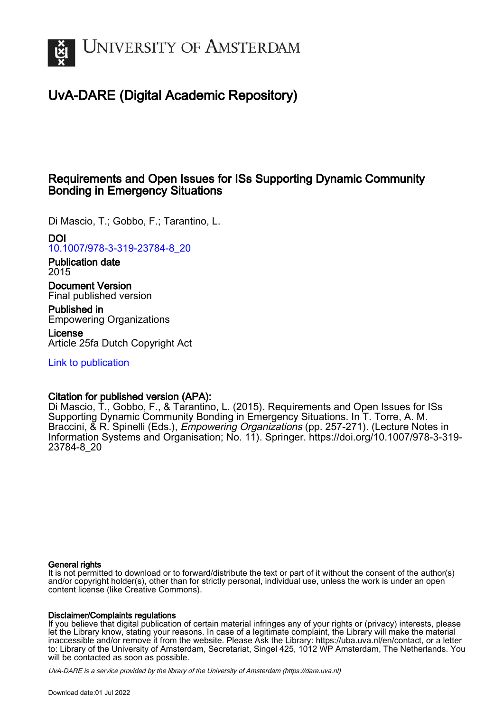

# UvA-DARE (Digital Academic Repository)

## Requirements and Open Issues for ISs Supporting Dynamic Community Bonding in Emergency Situations

Di Mascio, T.; Gobbo, F.; Tarantino, L.

## DOI

[10.1007/978-3-319-23784-8\\_20](https://doi.org/10.1007/978-3-319-23784-8_20)

Publication date 2015

Document Version Final published version

Published in Empowering Organizations

### License Article 25fa Dutch Copyright Act

[Link to publication](https://dare.uva.nl/personal/pure/en/publications/requirements-and-open-issues-for-iss-supporting-dynamic-community-bonding-in-emergency-situations(351dd680-950d-4a34-9a16-424c87e74bd5).html)

## Citation for published version (APA):

Di Mascio, T., Gobbo, F., & Tarantino, L. (2015). Requirements and Open Issues for ISs Supporting Dynamic Community Bonding in Emergency Situations. In T. Torre, A. M. Braccini, & R. Spinelli (Eds.), *Empowering Organizations* (pp. 257-271). (Lecture Notes in Information Systems and Organisation; No. 11). Springer. [https://doi.org/10.1007/978-3-319-](https://doi.org/10.1007/978-3-319-23784-8_20) [23784-8\\_20](https://doi.org/10.1007/978-3-319-23784-8_20)

### General rights

It is not permitted to download or to forward/distribute the text or part of it without the consent of the author(s) and/or copyright holder(s), other than for strictly personal, individual use, unless the work is under an open content license (like Creative Commons).

#### Disclaimer/Complaints regulations

If you believe that digital publication of certain material infringes any of your rights or (privacy) interests, please let the Library know, stating your reasons. In case of a legitimate complaint, the Library will make the material inaccessible and/or remove it from the website. Please Ask the Library: https://uba.uva.nl/en/contact, or a letter to: Library of the University of Amsterdam, Secretariat, Singel 425, 1012 WP Amsterdam, The Netherlands. You will be contacted as soon as possible.

UvA-DARE is a service provided by the library of the University of Amsterdam (http*s*://dare.uva.nl)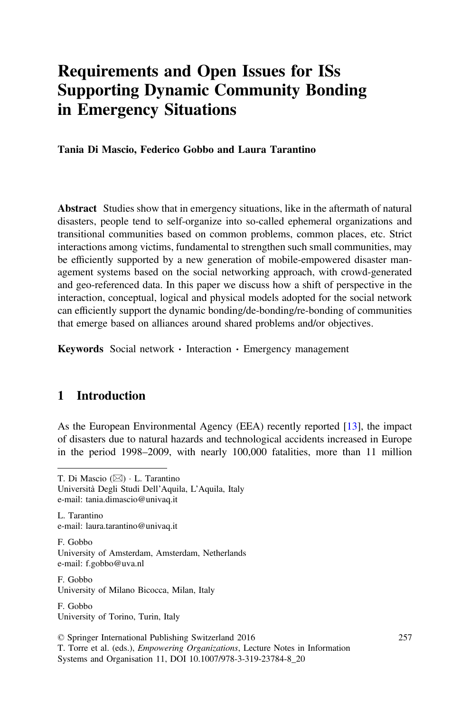# Requirements and Open Issues for ISs Supporting Dynamic Community Bonding in Emergency Situations

Tania Di Mascio, Federico Gobbo and Laura Tarantino

Abstract Studies show that in emergency situations, like in the aftermath of natural disasters, people tend to self-organize into so-called ephemeral organizations and transitional communities based on common problems, common places, etc. Strict interactions among victims, fundamental to strengthen such small communities, may be efficiently supported by a new generation of mobile-empowered disaster management systems based on the social networking approach, with crowd-generated and geo-referenced data. In this paper we discuss how a shift of perspective in the interaction, conceptual, logical and physical models adopted for the social network can efficiently support the dynamic bonding/de-bonding/re-bonding of communities that emerge based on alliances around shared problems and/or objectives.

Keywords Social network  $\cdot$  Interaction  $\cdot$  Emergency management

### 1 Introduction

As the European Environmental Agency (EEA) recently reported [\[13](#page-15-0)], the impact of disasters due to natural hazards and technological accidents increased in Europe in the period 1998–2009, with nearly 100,000 fatalities, more than 11 million

L. Tarantino e-mail: laura.tarantino@univaq.it

F. Gobbo University of Amsterdam, Amsterdam, Netherlands e-mail: f.gobbo@uva.nl

F. Gobbo University of Milano Bicocca, Milan, Italy

F. Gobbo University of Torino, Turin, Italy

© Springer International Publishing Switzerland 2016 T. Torre et al. (eds.), Empowering Organizations, Lecture Notes in Information Systems and Organisation 11, DOI 10.1007/978-3-319-23784-8\_20

T. Di Mascio (⊠) · L. Tarantino Università Degli Studi Dell'Aquila, L'Aquila, Italy e-mail: tania.dimascio@univaq.it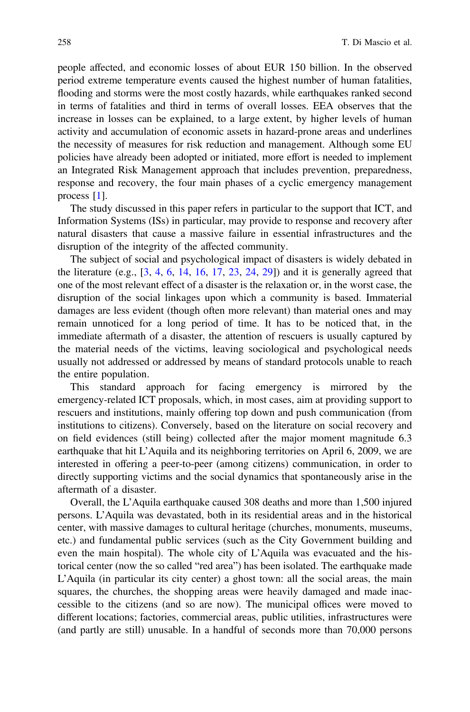people affected, and economic losses of about EUR 150 billion. In the observed period extreme temperature events caused the highest number of human fatalities, flooding and storms were the most costly hazards, while earthquakes ranked second in terms of fatalities and third in terms of overall losses. EEA observes that the increase in losses can be explained, to a large extent, by higher levels of human activity and accumulation of economic assets in hazard-prone areas and underlines the necessity of measures for risk reduction and management. Although some EU policies have already been adopted or initiated, more effort is needed to implement an Integrated Risk Management approach that includes prevention, preparedness, response and recovery, the four main phases of a cyclic emergency management process [\[1](#page-14-0)].

The study discussed in this paper refers in particular to the support that ICT, and Information Systems (ISs) in particular, may provide to response and recovery after natural disasters that cause a massive failure in essential infrastructures and the disruption of the integrity of the affected community.

The subject of social and psychological impact of disasters is widely debated in the literature (e.g.,  $[3, 4, 6, 14, 16, 17, 23, 24, 29]$  $[3, 4, 6, 14, 16, 17, 23, 24, 29]$  $[3, 4, 6, 14, 16, 17, 23, 24, 29]$  $[3, 4, 6, 14, 16, 17, 23, 24, 29]$  $[3, 4, 6, 14, 16, 17, 23, 24, 29]$  $[3, 4, 6, 14, 16, 17, 23, 24, 29]$  $[3, 4, 6, 14, 16, 17, 23, 24, 29]$  $[3, 4, 6, 14, 16, 17, 23, 24, 29]$  $[3, 4, 6, 14, 16, 17, 23, 24, 29]$  $[3, 4, 6, 14, 16, 17, 23, 24, 29]$  $[3, 4, 6, 14, 16, 17, 23, 24, 29]$  $[3, 4, 6, 14, 16, 17, 23, 24, 29]$  $[3, 4, 6, 14, 16, 17, 23, 24, 29]$  $[3, 4, 6, 14, 16, 17, 23, 24, 29]$  $[3, 4, 6, 14, 16, 17, 23, 24, 29]$  $[3, 4, 6, 14, 16, 17, 23, 24, 29]$  $[3, 4, 6, 14, 16, 17, 23, 24, 29]$  $[3, 4, 6, 14, 16, 17, 23, 24, 29]$ ) and it is generally agreed that one of the most relevant effect of a disaster is the relaxation or, in the worst case, the disruption of the social linkages upon which a community is based. Immaterial damages are less evident (though often more relevant) than material ones and may remain unnoticed for a long period of time. It has to be noticed that, in the immediate aftermath of a disaster, the attention of rescuers is usually captured by the material needs of the victims, leaving sociological and psychological needs usually not addressed or addressed by means of standard protocols unable to reach the entire population.

This standard approach for facing emergency is mirrored by the emergency-related ICT proposals, which, in most cases, aim at providing support to rescuers and institutions, mainly offering top down and push communication (from institutions to citizens). Conversely, based on the literature on social recovery and on field evidences (still being) collected after the major moment magnitude 6.3 earthquake that hit L'Aquila and its neighboring territories on April 6, 2009, we are interested in offering a peer-to-peer (among citizens) communication, in order to directly supporting victims and the social dynamics that spontaneously arise in the aftermath of a disaster.

Overall, the L'Aquila earthquake caused 308 deaths and more than 1,500 injured persons. L'Aquila was devastated, both in its residential areas and in the historical center, with massive damages to cultural heritage (churches, monuments, museums, etc.) and fundamental public services (such as the City Government building and even the main hospital). The whole city of L'Aquila was evacuated and the historical center (now the so called "red area") has been isolated. The earthquake made L'Aquila (in particular its city center) a ghost town: all the social areas, the main squares, the churches, the shopping areas were heavily damaged and made inaccessible to the citizens (and so are now). The municipal offices were moved to different locations; factories, commercial areas, public utilities, infrastructures were (and partly are still) unusable. In a handful of seconds more than 70,000 persons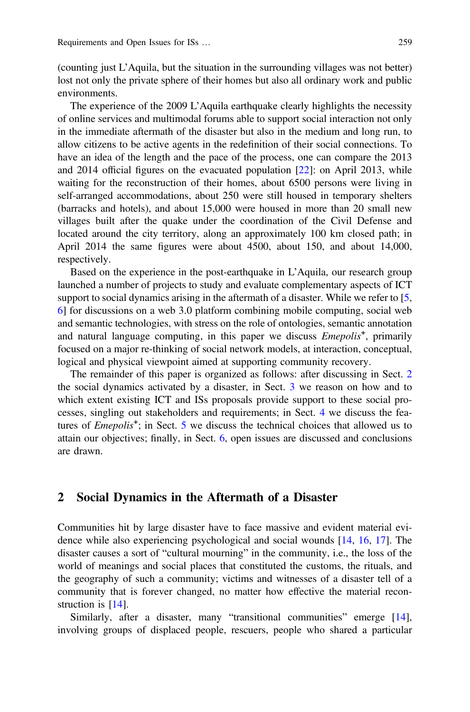<span id="page-3-0"></span>(counting just L'Aquila, but the situation in the surrounding villages was not better) lost not only the private sphere of their homes but also all ordinary work and public environments.

The experience of the 2009 L'Aquila earthquake clearly highlights the necessity of online services and multimodal forums able to support social interaction not only in the immediate aftermath of the disaster but also in the medium and long run, to allow citizens to be active agents in the redefinition of their social connections. To have an idea of the length and the pace of the process, one can compare the 2013 and 2014 official figures on the evacuated population [\[22](#page-15-0)]: on April 2013, while waiting for the reconstruction of their homes, about 6500 persons were living in self-arranged accommodations, about 250 were still housed in temporary shelters (barracks and hotels), and about 15,000 were housed in more than 20 small new villages built after the quake under the coordination of the Civil Defense and located around the city territory, along an approximately 100 km closed path; in April 2014 the same figures were about 4500, about 150, and about 14,000, respectively.

Based on the experience in the post-earthquake in L'Aquila, our research group launched a number of projects to study and evaluate complementary aspects of ICT support to social dynamics arising in the aftermath of a disaster. While we refer to [\[5](#page-14-0), [6\]](#page-14-0) for discussions on a web 3.0 platform combining mobile computing, social web and semantic technologies, with stress on the role of ontologies, semantic annotation and natural language computing, in this paper we discuss Emepolis<sup>+</sup>, primarily focused on a major re-thinking of social network models, at interaction, conceptual, logical and physical viewpoint aimed at supporting community recovery.

The remainder of this paper is organized as follows: after discussing in Sect. 2 the social dynamics activated by a disaster, in Sect. [3](#page-5-0) we reason on how and to which extent existing ICT and ISs proposals provide support to these social processes, singling out stakeholders and requirements; in Sect. [4](#page-7-0) we discuss the features of *Emepolis*<sup>+</sup>; in Sect. [5](#page-11-0) we discuss the technical choices that allowed us to attain our objectives; finally, in Sect. [6](#page-13-0), open issues are discussed and conclusions are drawn.

#### 2 Social Dynamics in the Aftermath of a Disaster

Communities hit by large disaster have to face massive and evident material evidence while also experiencing psychological and social wounds [\[14](#page-15-0), [16](#page-15-0), [17](#page-15-0)]. The disaster causes a sort of "cultural mourning" in the community, i.e., the loss of the world of meanings and social places that constituted the customs, the rituals, and the geography of such a community; victims and witnesses of a disaster tell of a community that is forever changed, no matter how effective the material recon-struction is [[14\]](#page-15-0).

Similarly, after a disaster, many "transitional communities" emerge [[14\]](#page-15-0), involving groups of displaced people, rescuers, people who shared a particular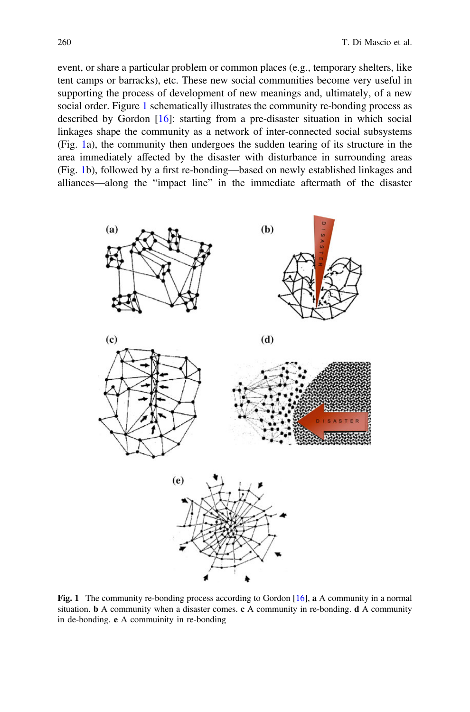<span id="page-4-0"></span>event, or share a particular problem or common places (e.g., temporary shelters, like tent camps or barracks), etc. These new social communities become very useful in supporting the process of development of new meanings and, ultimately, of a new social order. Figure 1 schematically illustrates the community re-bonding process as described by Gordon [[16\]](#page-15-0): starting from a pre-disaster situation in which social linkages shape the community as a network of inter-connected social subsystems (Fig. 1a), the community then undergoes the sudden tearing of its structure in the area immediately affected by the disaster with disturbance in surrounding areas (Fig. 1b), followed by a first re-bonding—based on newly established linkages and alliances—along the "impact line" in the immediate aftermath of the disaster



Fig. 1 The community re-bonding process according to Gordon [[16](#page-15-0)], a A community in a normal situation.  $\bf{b}$  A community when a disaster comes.  $\bf{c}$  A community in re-bonding.  $\bf{d}$  A community in de-bonding. e A commuinity in re-bonding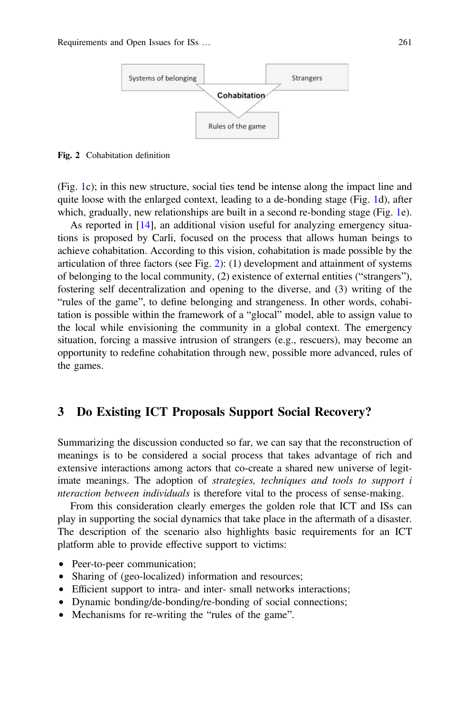<span id="page-5-0"></span>

Fig. 2 Cohabitation definition

(Fig. [1c](#page-4-0)); in this new structure, social ties tend be intense along the impact line and quite loose with the enlarged context, leading to a de-bonding stage (Fig. [1](#page-4-0)d), after which, gradually, new relationships are built in a second re-bonding stage (Fig. [1](#page-4-0)e).

As reported in [[14\]](#page-15-0), an additional vision useful for analyzing emergency situations is proposed by Carli, focused on the process that allows human beings to achieve cohabitation. According to this vision, cohabitation is made possible by the articulation of three factors (see Fig. 2): (1) development and attainment of systems of belonging to the local community, (2) existence of external entities ("strangers"), fostering self decentralization and opening to the diverse, and (3) writing of the "rules of the game", to define belonging and strangeness. In other words, cohabitation is possible within the framework of a "glocal" model, able to assign value to the local while envisioning the community in a global context. The emergency situation, forcing a massive intrusion of strangers (e.g., rescuers), may become an opportunity to redefine cohabitation through new, possible more advanced, rules of the games.

#### 3 Do Existing ICT Proposals Support Social Recovery?

Summarizing the discussion conducted so far, we can say that the reconstruction of meanings is to be considered a social process that takes advantage of rich and extensive interactions among actors that co-create a shared new universe of legitimate meanings. The adoption of *strategies*, *techniques and tools to support i* nteraction between individuals is therefore vital to the process of sense-making.

From this consideration clearly emerges the golden role that ICT and ISs can play in supporting the social dynamics that take place in the aftermath of a disaster. The description of the scenario also highlights basic requirements for an ICT platform able to provide effective support to victims:

- Peer-to-peer communication;
- Sharing of (geo-localized) information and resources;
- Efficient support to intra- and inter- small networks interactions;
- Dynamic bonding/de-bonding/re-bonding of social connections;
- Mechanisms for re-writing the "rules of the game".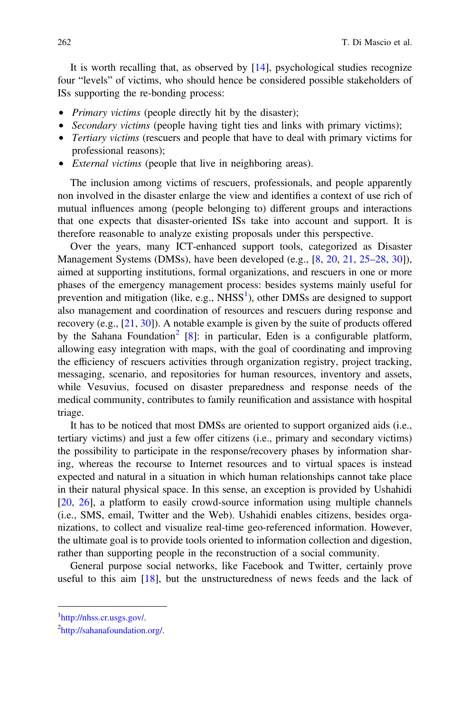It is worth recalling that, as observed by [\[14](#page-15-0)], psychological studies recognize four "levels" of victims, who should hence be considered possible stakeholders of ISs supporting the re-bonding process:

- *Primary victims* (people directly hit by the disaster);
- Secondary victims (people having tight ties and links with primary victims);
- *Tertiary victims* (rescuers and people that have to deal with primary victims for professional reasons);
- *External victims* (people that live in neighboring areas).

The inclusion among victims of rescuers, professionals, and people apparently non involved in the disaster enlarge the view and identifies a context of use rich of mutual influences among (people belonging to) different groups and interactions that one expects that disaster-oriented ISs take into account and support. It is therefore reasonable to analyze existing proposals under this perspective.

Over the years, many ICT-enhanced support tools, categorized as Disaster Management Systems (DMSs), have been developed (e.g., [[8,](#page-14-0) [20](#page-15-0), [21,](#page-15-0) [25](#page-15-0)–[28](#page-15-0), [30\]](#page-15-0)), aimed at supporting institutions, formal organizations, and rescuers in one or more phases of the emergency management process: besides systems mainly useful for prevention and mitigation (like, e.g.,  $NHSS<sup>1</sup>$ ), other DMSs are designed to support also management and coordination of resources and rescuers during response and recovery (e.g., [\[21](#page-15-0), [30](#page-15-0)]). A notable example is given by the suite of products offered by the Sahana Foundation<sup>2</sup> [[8\]](#page-14-0): in particular, Eden is a configurable platform, allowing easy integration with maps, with the goal of coordinating and improving the efficiency of rescuers activities through organization registry, project tracking, messaging, scenario, and repositories for human resources, inventory and assets, while Vesuvius, focused on disaster preparedness and response needs of the medical community, contributes to family reunification and assistance with hospital triage.

It has to be noticed that most DMSs are oriented to support organized aids (i.e., tertiary victims) and just a few offer citizens (i.e., primary and secondary victims) the possibility to participate in the response/recovery phases by information sharing, whereas the recourse to Internet resources and to virtual spaces is instead expected and natural in a situation in which human relationships cannot take place in their natural physical space. In this sense, an exception is provided by Ushahidi [\[20](#page-15-0), [26\]](#page-15-0), a platform to easily crowd-source information using multiple channels (i.e., SMS, email, Twitter and the Web). Ushahidi enables citizens, besides organizations, to collect and visualize real-time geo-referenced information. However, the ultimate goal is to provide tools oriented to information collection and digestion, rather than supporting people in the reconstruction of a social community.

General purpose social networks, like Facebook and Twitter, certainly prove useful to this aim [\[18](#page-15-0)], but the unstructuredness of news feeds and the lack of

<sup>1</sup> [http://nhss.cr.usgs.gov/.](http://nhss.cr.usgs.gov/)

<sup>&</sup>lt;sup>2</sup>[http://sahanafoundation.org/.](http://sahanafoundation.org/)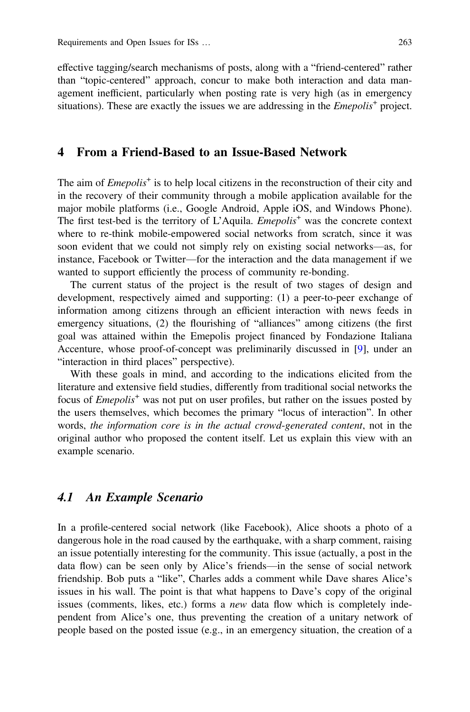<span id="page-7-0"></span>effective tagging/search mechanisms of posts, along with a "friend-centered" rather than "topic-centered" approach, concur to make both interaction and data management inefficient, particularly when posting rate is very high (as in emergency situations). These are exactly the issues we are addressing in the  $Empolis^+$  project.

#### 4 From a Friend-Based to an Issue-Based Network

The aim of  $Empolis^+$  is to help local citizens in the reconstruction of their city and in the recovery of their community through a mobile application available for the major mobile platforms (i.e., Google Android, Apple iOS, and Windows Phone). The first test-bed is the territory of L'Aquila.  $Empolis^+$  was the concrete context where to re-think mobile-empowered social networks from scratch, since it was soon evident that we could not simply rely on existing social networks—as, for instance, Facebook or Twitter—for the interaction and the data management if we wanted to support efficiently the process of community re-bonding.

The current status of the project is the result of two stages of design and development, respectively aimed and supporting: (1) a peer-to-peer exchange of information among citizens through an efficient interaction with news feeds in emergency situations, (2) the flourishing of "alliances" among citizens (the first goal was attained within the Emepolis project financed by Fondazione Italiana Accenture, whose proof-of-concept was preliminarily discussed in [\[9](#page-14-0)], under an "interaction in third places" perspective).

With these goals in mind, and according to the indications elicited from the literature and extensive field studies, differently from traditional social networks the focus of *Emepolis*<sup>+</sup> was not put on user profiles, but rather on the issues posted by the users themselves, which becomes the primary "locus of interaction". In other words, the information core is in the actual crowd-generated content, not in the original author who proposed the content itself. Let us explain this view with an example scenario.

#### 4.1 An Example Scenario

In a profile-centered social network (like Facebook), Alice shoots a photo of a dangerous hole in the road caused by the earthquake, with a sharp comment, raising an issue potentially interesting for the community. This issue (actually, a post in the data flow) can be seen only by Alice's friends—in the sense of social network friendship. Bob puts a "like", Charles adds a comment while Dave shares Alice's issues in his wall. The point is that what happens to Dave's copy of the original issues (comments, likes, etc.) forms a *new* data flow which is completely independent from Alice's one, thus preventing the creation of a unitary network of people based on the posted issue (e.g., in an emergency situation, the creation of a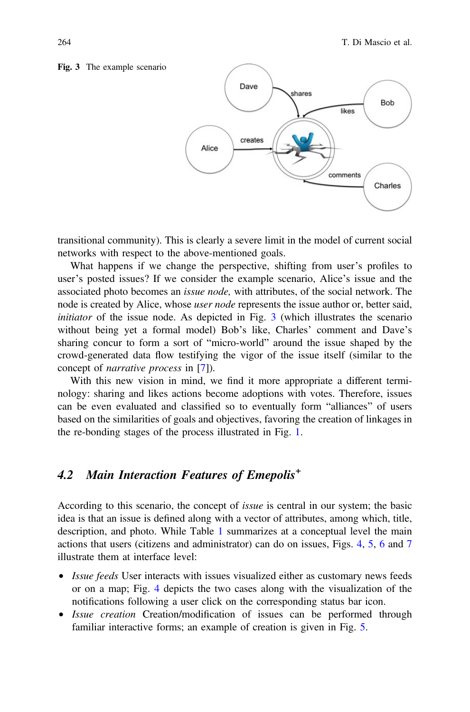#### <span id="page-8-0"></span>Fig. 3 The example scenario



transitional community). This is clearly a severe limit in the model of current social networks with respect to the above-mentioned goals.

What happens if we change the perspective, shifting from user's profiles to user's posted issues? If we consider the example scenario, Alice's issue and the associated photo becomes an issue node, with attributes, of the social network. The node is created by Alice, whose *user node* represents the issue author or, better said, initiator of the issue node. As depicted in Fig. 3 (which illustrates the scenario without being yet a formal model) Bob's like, Charles' comment and Dave's sharing concur to form a sort of "micro-world" around the issue shaped by the crowd-generated data flow testifying the vigor of the issue itself (similar to the concept of narrative process in [\[7](#page-14-0)]).

With this new vision in mind, we find it more appropriate a different terminology: sharing and likes actions become adoptions with votes. Therefore, issues can be even evaluated and classified so to eventually form "alliances" of users based on the similarities of goals and objectives, favoring the creation of linkages in the re-bonding stages of the process illustrated in Fig. [1.](#page-4-0)

#### 4.2 Main Interaction Features of Emepolis<sup>+</sup>

According to this scenario, the concept of issue is central in our system; the basic idea is that an issue is defined along with a vector of attributes, among which, title, description, and photo. While Table [1](#page-9-0) summarizes at a conceptual level the main actions that users (citizens and administrator) can do on issues, Figs. [4,](#page-9-0) [5](#page-10-0), [6](#page-10-0) and [7](#page-11-0) illustrate them at interface level:

- *Issue feeds* User interacts with issues visualized either as customary news feeds or on a map; Fig. [4](#page-9-0) depicts the two cases along with the visualization of the notifications following a user click on the corresponding status bar icon.
- *Issue creation* Creation/modification of issues can be performed through familiar interactive forms; an example of creation is given in Fig. [5.](#page-10-0)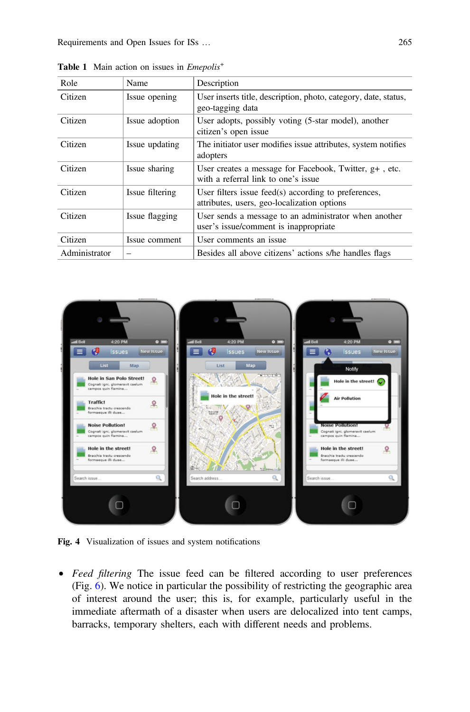| Role          | Name            | Description                                                                                         |
|---------------|-----------------|-----------------------------------------------------------------------------------------------------|
| Citizen       | Issue opening   | User inserts title, description, photo, category, date, status,<br>geo-tagging data                 |
| Citizen       | Issue adoption  | User adopts, possibly voting (5-star model), another<br>citizen's open issue                        |
| Citizen       | Issue updating  | The initiator user modifies issue attributes, system notifies<br>adopters                           |
| Citizen       | Issue sharing   | User creates a message for Facebook, Twitter, g+, etc.<br>with a referral link to one's issue       |
| Citizen       | Issue filtering | User filters issue feed(s) according to preferences,<br>attributes, users, geo-localization options |
| Citizen       | Issue flagging  | User sends a message to an administrator when another<br>user's issue/comment is inappropriate      |
| Citizen       | Issue comment   | User comments an issue                                                                              |
| Administrator |                 | Besides all above citizens' actions s/he handles flags                                              |

<span id="page-9-0"></span>**Table 1** Main action on issues in  $Emepolis<sup>+</sup>$ 



Fig. 4 Visualization of issues and system notifications

• Feed filtering The issue feed can be filtered according to user preferences (Fig. [6\)](#page-10-0). We notice in particular the possibility of restricting the geographic area of interest around the user; this is, for example, particularly useful in the immediate aftermath of a disaster when users are delocalized into tent camps, barracks, temporary shelters, each with different needs and problems.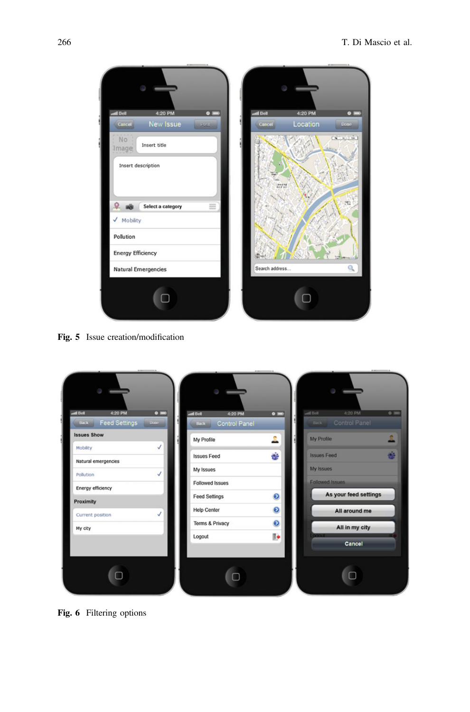<span id="page-10-0"></span>

Fig. 5 Issue creation/modification

| <b>Feed Settings</b><br>Back -  | $\bullet$ $\blacksquare$<br>Done | 4:20 PM<br>atl Bell<br><b>Control Panel</b><br><b>Back</b> | $\bullet$ $\blacksquare$ | and Bell<br>4:20 PM<br>$O$ in<br><b>Back Control Panel</b> |
|---------------------------------|----------------------------------|------------------------------------------------------------|--------------------------|------------------------------------------------------------|
| <b>Issues Show</b>              |                                  | My Profile                                                 |                          | My Profile                                                 |
| Mobility<br>Natural emergencies |                                  | <b>Issues Feed</b>                                         | ė                        | <b>Issues Feed</b>                                         |
| Pollution                       |                                  | My Issues                                                  |                          | My Issues                                                  |
| Energy efficiency               |                                  | <b>Followed Issues</b>                                     |                          | <b>Followed Issues</b>                                     |
| Proximity                       |                                  | <b>Feed Settings</b>                                       | $\bullet$                | As your feed settings                                      |
| Current position                |                                  | <b>Help Center</b>                                         | $\bullet$                | All around me                                              |
| My city                         |                                  | Terms & Privacy                                            | $\bullet$                | All in my city                                             |
|                                 |                                  | Logout                                                     | Ŀ                        | Cancel                                                     |

Fig. 6 Filtering options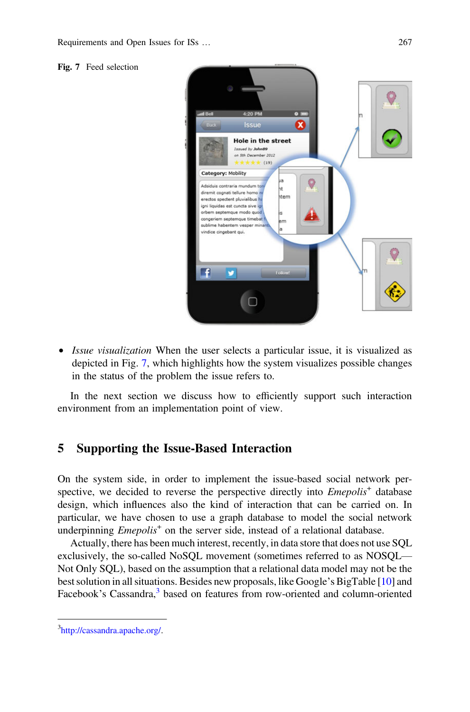#### <span id="page-11-0"></span>Fig. 7 Feed selection



• *Issue visualization* When the user selects a particular issue, it is visualized as depicted in Fig. 7, which highlights how the system visualizes possible changes in the status of the problem the issue refers to.

In the next section we discuss how to efficiently support such interaction environment from an implementation point of view.

#### 5 Supporting the Issue-Based Interaction

On the system side, in order to implement the issue-based social network perspective, we decided to reverse the perspective directly into *Emepolis*<sup>+</sup> database design, which influences also the kind of interaction that can be carried on. In particular, we have chosen to use a graph database to model the social network underpinning  $Empolis^+$  on the server side, instead of a relational database.

Actually, there has been much interest, recently, in data store that does not use SQL exclusively, the so-called NoSQL movement (sometimes referred to as NOSQL— Not Only SQL), based on the assumption that a relational data model may not be the best solution in all situations. Besides new proposals, like Google's BigTable [\[10](#page-14-0)] and Facebook's Cassandra,<sup>3</sup> based on features from row-oriented and column-oriented

<sup>&</sup>lt;sup>3</sup>[http://cassandra.apache.org/.](http://cassandra.apache.org/)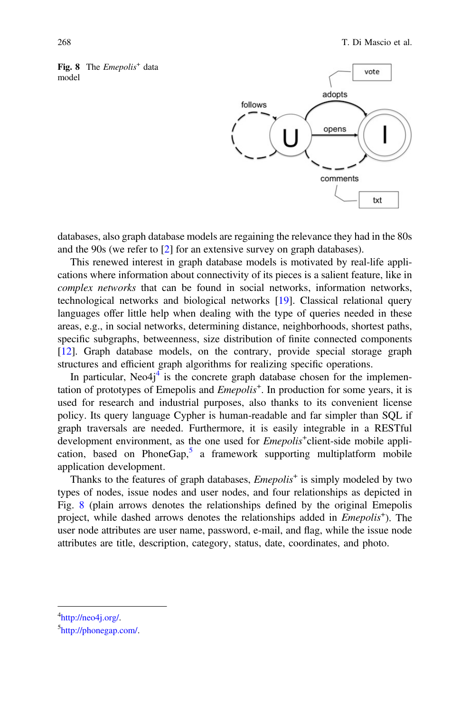



databases, also graph database models are regaining the relevance they had in the 80s and the 90s (we refer to [[2\]](#page-14-0) for an extensive survey on graph databases).

This renewed interest in graph database models is motivated by real-life applications where information about connectivity of its pieces is a salient feature, like in complex networks that can be found in social networks, information networks, technological networks and biological networks [\[19](#page-15-0)]. Classical relational query languages offer little help when dealing with the type of queries needed in these areas, e.g., in social networks, determining distance, neighborhoods, shortest paths, specific subgraphs, betweenness, size distribution of finite connected components [\[12](#page-14-0)]. Graph database models, on the contrary, provide special storage graph structures and efficient graph algorithms for realizing specific operations.

In particular,  $Neo4i<sup>4</sup>$  is the concrete graph database chosen for the implementation of prototypes of Emepolis and *Emepolis*<sup>+</sup>. In production for some years, it is used for research and industrial purposes, also thanks to its convenient license policy. Its query language Cypher is human-readable and far simpler than SQL if graph traversals are needed. Furthermore, it is easily integrable in a RESTful development environment, as the one used for *Emepolis*<sup>+</sup>client-side mobile application, based on PhoneGap,  $\overline{5}$  a framework supporting multiplatform mobile application development.

Thanks to the features of graph databases,  $Empolis^+$  is simply modeled by two types of nodes, issue nodes and user nodes, and four relationships as depicted in Fig. 8 (plain arrows denotes the relationships defined by the original Emepolis project, while dashed arrows denotes the relationships added in *Emepolis*<sup>+</sup>). The user node attributes are user name, password, e-mail, and flag, while the issue node attributes are title, description, category, status, date, coordinates, and photo.

<sup>4</sup> <http://neo4j.org/>.

<sup>5</sup> [http://phonegap.com/.](http://phonegap.com/)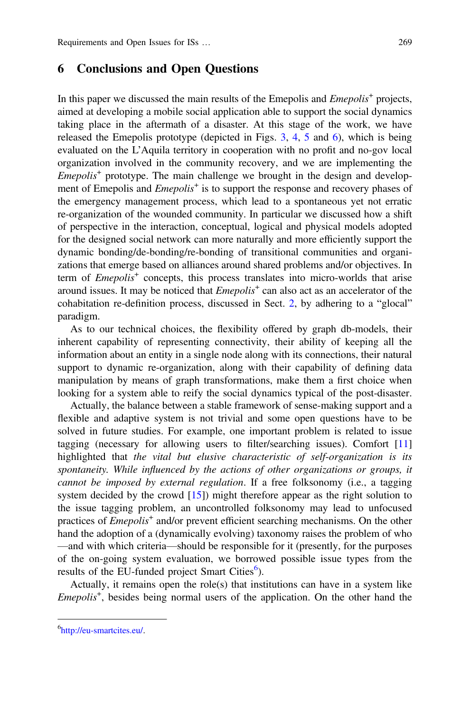#### <span id="page-13-0"></span>6 Conclusions and Open Questions

In this paper we discussed the main results of the Emepolis and  $Empolis^+$  projects, aimed at developing a mobile social application able to support the social dynamics taking place in the aftermath of a disaster. At this stage of the work, we have released the Emepolis prototype (depicted in Figs. [3,](#page-8-0) [4,](#page-9-0) [5](#page-10-0) and [6](#page-10-0)), which is being evaluated on the L'Aquila territory in cooperation with no profit and no-gov local organization involved in the community recovery, and we are implementing the  $Emepolis<sup>+</sup>$  prototype. The main challenge we brought in the design and development of Emepolis and *Emepolis*<sup>+</sup> is to support the response and recovery phases of the emergency management process, which lead to a spontaneous yet not erratic re-organization of the wounded community. In particular we discussed how a shift of perspective in the interaction, conceptual, logical and physical models adopted for the designed social network can more naturally and more efficiently support the dynamic bonding/de-bonding/re-bonding of transitional communities and organizations that emerge based on alliances around shared problems and/or objectives. In term of *Emepolis*<sup>+</sup> concepts, this process translates into micro-worlds that arise around issues. It may be noticed that  $Empolis^+$  can also act as an accelerator of the cohabitation re-definition process, discussed in Sect. [2](#page-3-0), by adhering to a "glocal" paradigm.

As to our technical choices, the flexibility offered by graph db-models, their inherent capability of representing connectivity, their ability of keeping all the information about an entity in a single node along with its connections, their natural support to dynamic re-organization, along with their capability of defining data manipulation by means of graph transformations, make them a first choice when looking for a system able to reify the social dynamics typical of the post-disaster.

Actually, the balance between a stable framework of sense-making support and a flexible and adaptive system is not trivial and some open questions have to be solved in future studies. For example, one important problem is related to issue tagging (necessary for allowing users to filter/searching issues). Comfort [\[11](#page-14-0)] highlighted that the vital but elusive characteristic of self-organization is its spontaneity. While influenced by the actions of other organizations or groups, it cannot be imposed by external regulation. If a free folksonomy (i.e., a tagging system decided by the crowd  $[15]$  $[15]$ ) might therefore appear as the right solution to the issue tagging problem, an uncontrolled folksonomy may lead to unfocused practices of *Emepolis*<sup>+</sup> and/or prevent efficient searching mechanisms. On the other hand the adoption of a (dynamically evolving) taxonomy raises the problem of who —and with which criteria—should be responsible for it (presently, for the purposes of the on-going system evaluation, we borrowed possible issue types from the results of the EU-funded project Smart Cities<sup>6</sup>).

Actually, it remains open the role(s) that institutions can have in a system like Emepolis<sup>+</sup>, besides being normal users of the application. On the other hand the

<sup>6</sup> [http://eu-smartcites.eu/.](http://eu-smartcites.eu/)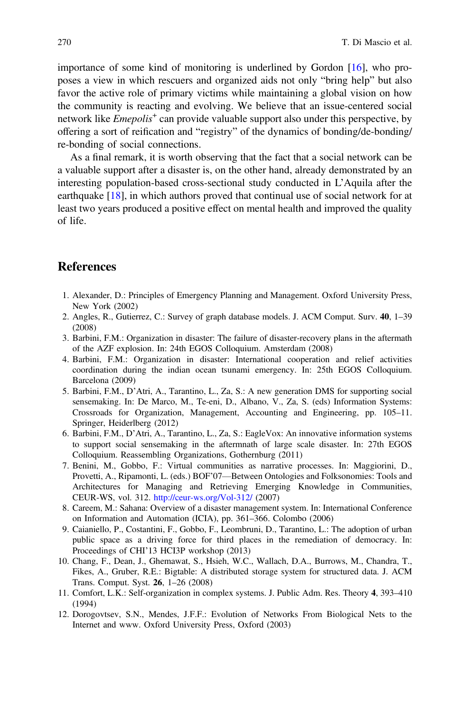<span id="page-14-0"></span>importance of some kind of monitoring is underlined by Gordon [\[16](#page-15-0)], who proposes a view in which rescuers and organized aids not only "bring help" but also favor the active role of primary victims while maintaining a global vision on how the community is reacting and evolving. We believe that an issue-centered social network like *Emepolis*<sup>+</sup> can provide valuable support also under this perspective, by offering a sort of reification and "registry" of the dynamics of bonding/de-bonding/ re-bonding of social connections.

As a final remark, it is worth observing that the fact that a social network can be a valuable support after a disaster is, on the other hand, already demonstrated by an interesting population-based cross-sectional study conducted in L'Aquila after the earthquake [\[18](#page-15-0)], in which authors proved that continual use of social network for at least two years produced a positive effect on mental health and improved the quality of life.

#### **References**

- 1. Alexander, D.: Principles of Emergency Planning and Management. Oxford University Press, New York (2002)
- 2. Angles, R., Gutierrez, C.: Survey of graph database models. J. ACM Comput. Surv. 40, 1–39 (2008)
- 3. Barbini, F.M.: Organization in disaster: The failure of disaster-recovery plans in the aftermath of the AZF explosion. In: 24th EGOS Colloquium. Amsterdam (2008)
- 4. Barbini, F.M.: Organization in disaster: International cooperation and relief activities coordination during the indian ocean tsunami emergency. In: 25th EGOS Colloquium. Barcelona (2009)
- 5. Barbini, F.M., D'Atri, A., Tarantino, L., Za, S.: A new generation DMS for supporting social sensemaking. In: De Marco, M., Te-eni, D., Albano, V., Za, S. (eds) Information Systems: Crossroads for Organization, Management, Accounting and Engineering, pp. 105–11. Springer, Heiderlberg (2012)
- 6. Barbini, F.M., D'Atri, A., Tarantino, L., Za, S.: EagleVox: An innovative information systems to support social sensemaking in the aftermnath of large scale disaster. In: 27th EGOS Colloquium. Reassembling Organizations, Gothernburg (2011)
- 7. Benini, M., Gobbo, F.: Virtual communities as narrative processes. In: Maggiorini, D., Provetti, A., Ripamonti, L. (eds.) BOF'07—Between Ontologies and Folksonomies: Tools and Architectures for Managing and Retrieving Emerging Knowledge in Communities, CEUR-WS, vol. 312. <http://ceur-ws.org/Vol-312/> (2007)
- 8. Careem, M.: Sahana: Overview of a disaster management system. In: International Conference on Information and Automation (ICIA), pp. 361–366. Colombo (2006)
- 9. Caianiello, P., Costantini, F., Gobbo, F., Leombruni, D., Tarantino, L.: The adoption of urban public space as a driving force for third places in the remediation of democracy. In: Proceedings of CHI'13 HCI3P workshop (2013)
- 10. Chang, F., Dean, J., Ghemawat, S., Hsieh, W.C., Wallach, D.A., Burrows, M., Chandra, T., Fikes, A., Gruber, R.E.: Bigtable: A distributed storage system for structured data. J. ACM Trans. Comput. Syst. 26, 1–26 (2008)
- 11. Comfort, L.K.: Self-organization in complex systems. J. Public Adm. Res. Theory 4, 393–410 (1994)
- 12. Dorogovtsev, S.N., Mendes, J.F.F.: Evolution of Networks From Biological Nets to the Internet and www. Oxford University Press, Oxford (2003)